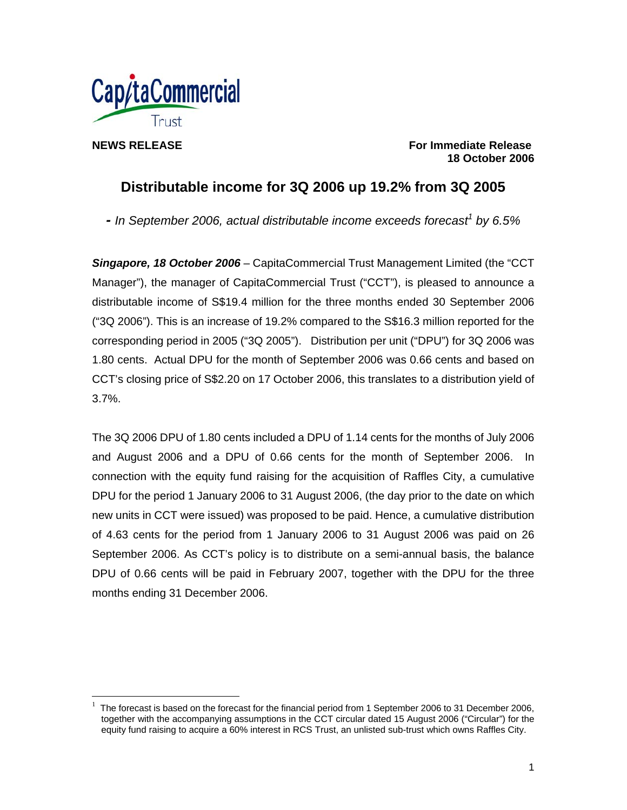

 $\overline{a}$ 

**NEWS RELEASE For Immediate Release 18 October 2006** 

# **Distributable income for 3Q 2006 up 19.2% from 3Q 2005**

- In September 2006, actual distributable income exceeds forecast<sup>1</sup> by 6.5%

*Singapore, 18 October 2006* – CapitaCommercial Trust Management Limited (the "CCT Manager"), the manager of CapitaCommercial Trust ("CCT"), is pleased to announce a distributable income of S\$19.4 million for the three months ended 30 September 2006 ("3Q 2006"). This is an increase of 19.2% compared to the S\$16.3 million reported for the corresponding period in 2005 ("3Q 2005"). Distribution per unit ("DPU") for 3Q 2006 was 1.80 cents. Actual DPU for the month of September 2006 was 0.66 cents and based on CCT's closing price of S\$2.20 on 17 October 2006, this translates to a distribution yield of 3.7%.

The 3Q 2006 DPU of 1.80 cents included a DPU of 1.14 cents for the months of July 2006 and August 2006 and a DPU of 0.66 cents for the month of September 2006. In connection with the equity fund raising for the acquisition of Raffles City, a cumulative DPU for the period 1 January 2006 to 31 August 2006, (the day prior to the date on which new units in CCT were issued) was proposed to be paid. Hence, a cumulative distribution of 4.63 cents for the period from 1 January 2006 to 31 August 2006 was paid on 26 September 2006. As CCT's policy is to distribute on a semi-annual basis, the balance DPU of 0.66 cents will be paid in February 2007, together with the DPU for the three months ending 31 December 2006.

<sup>1</sup> The forecast is based on the forecast for the financial period from 1 September 2006 to 31 December 2006, together with the accompanying assumptions in the CCT circular dated 15 August 2006 ("Circular") for the equity fund raising to acquire a 60% interest in RCS Trust, an unlisted sub-trust which owns Raffles City.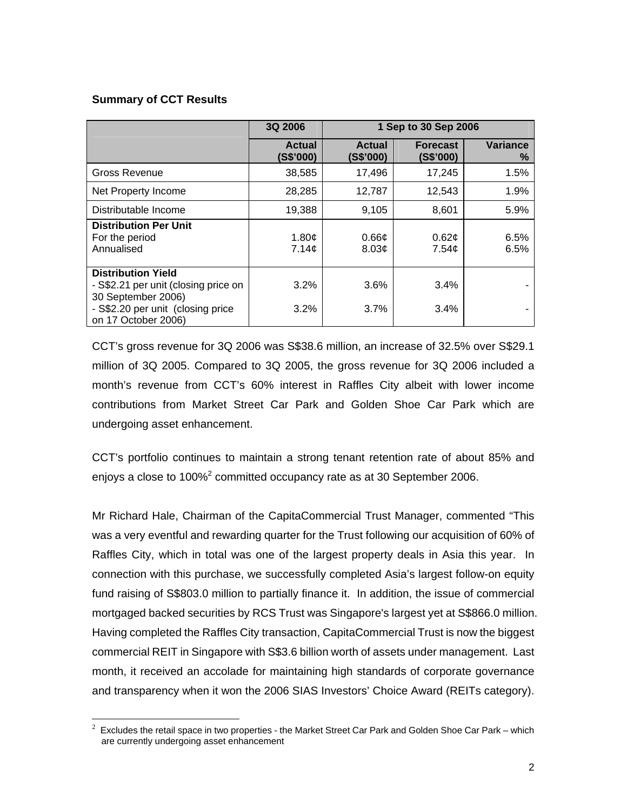### **Summary of CCT Results**

 $\overline{a}$ 

|                                                                                                                                                     | 3Q 2006                      | 1 Sep to 30 Sep 2006       |                              |                      |
|-----------------------------------------------------------------------------------------------------------------------------------------------------|------------------------------|----------------------------|------------------------------|----------------------|
|                                                                                                                                                     | <b>Actual</b><br>(S\$'000)   | <b>Actual</b><br>(S\$'000) | <b>Forecast</b><br>(S\$'000) | <b>Variance</b><br>℅ |
| Gross Revenue                                                                                                                                       | 38,585                       | 17,496                     | 17,245                       | 1.5%                 |
| Net Property Income                                                                                                                                 | 28,285                       | 12,787                     | 12,543                       | 1.9%                 |
| Distributable Income                                                                                                                                | 19,388                       | 9,105                      | 8,601                        | 5.9%                 |
| <b>Distribution Per Unit</b><br>For the period<br>Annualised                                                                                        | 1.80 $\mathfrak{c}$<br>7.14¢ | $0.66\mathcal{C}$<br>8.03¢ | 0.62¢<br>7.54 <sub>c</sub>   | 6.5%<br>6.5%         |
| <b>Distribution Yield</b><br>- S\$2.21 per unit (closing price on<br>30 September 2006)<br>- S\$2.20 per unit (closing price<br>on 17 October 2006) | 3.2%<br>3.2%                 | 3.6%<br>3.7%               | 3.4%<br>3.4%                 |                      |

CCT's gross revenue for 3Q 2006 was S\$38.6 million, an increase of 32.5% over S\$29.1 million of 3Q 2005. Compared to 3Q 2005, the gross revenue for 3Q 2006 included a month's revenue from CCT's 60% interest in Raffles City albeit with lower income contributions from Market Street Car Park and Golden Shoe Car Park which are undergoing asset enhancement.

CCT's portfolio continues to maintain a strong tenant retention rate of about 85% and enjoys a close to 100%<sup>2</sup> committed occupancy rate as at 30 September 2006.

Mr Richard Hale, Chairman of the CapitaCommercial Trust Manager, commented "This was a very eventful and rewarding quarter for the Trust following our acquisition of 60% of Raffles City, which in total was one of the largest property deals in Asia this year. In connection with this purchase, we successfully completed Asia's largest follow-on equity fund raising of S\$803.0 million to partially finance it. In addition, the issue of commercial mortgaged backed securities by RCS Trust was Singapore's largest yet at S\$866.0 million. Having completed the Raffles City transaction, CapitaCommercial Trust is now the biggest commercial REIT in Singapore with S\$3.6 billion worth of assets under management. Last month, it received an accolade for maintaining high standards of corporate governance and transparency when it won the 2006 SIAS Investors' Choice Award (REITs category).

 $^2$  Excludes the retail space in two properties - the Market Street Car Park and Golden Shoe Car Park – which are currently undergoing asset enhancement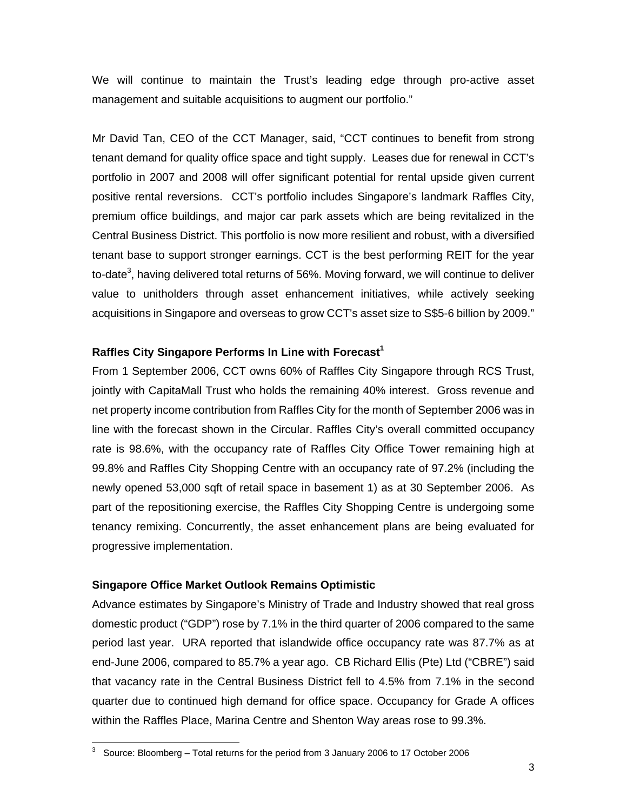We will continue to maintain the Trust's leading edge through pro-active asset management and suitable acquisitions to augment our portfolio."

Mr David Tan, CEO of the CCT Manager, said, "CCT continues to benefit from strong tenant demand for quality office space and tight supply. Leases due for renewal in CCT's portfolio in 2007 and 2008 will offer significant potential for rental upside given current positive rental reversions. CCT's portfolio includes Singapore's landmark Raffles City, premium office buildings, and major car park assets which are being revitalized in the Central Business District. This portfolio is now more resilient and robust, with a diversified tenant base to support stronger earnings. CCT is the best performing REIT for the year to-date<sup>3</sup>, having delivered total returns of 56%. Moving forward, we will continue to deliver value to unitholders through asset enhancement initiatives, while actively seeking acquisitions in Singapore and overseas to grow CCT's asset size to S\$5-6 billion by 2009."

#### **Raffles City Singapore Performs In Line with Forecast<sup>1</sup>**

From 1 September 2006, CCT owns 60% of Raffles City Singapore through RCS Trust, jointly with CapitaMall Trust who holds the remaining 40% interest. Gross revenue and net property income contribution from Raffles City for the month of September 2006 was in line with the forecast shown in the Circular. Raffles City's overall committed occupancy rate is 98.6%, with the occupancy rate of Raffles City Office Tower remaining high at 99.8% and Raffles City Shopping Centre with an occupancy rate of 97.2% (including the newly opened 53,000 sqft of retail space in basement 1) as at 30 September 2006. As part of the repositioning exercise, the Raffles City Shopping Centre is undergoing some tenancy remixing. Concurrently, the asset enhancement plans are being evaluated for progressive implementation.

#### **Singapore Office Market Outlook Remains Optimistic**

 $\overline{a}$ 

Advance estimates by Singapore's Ministry of Trade and Industry showed that real gross domestic product ("GDP") rose by 7.1% in the third quarter of 2006 compared to the same period last year. URA reported that islandwide office occupancy rate was 87.7% as at end-June 2006, compared to 85.7% a year ago. CB Richard Ellis (Pte) Ltd ("CBRE") said that vacancy rate in the Central Business District fell to 4.5% from 7.1% in the second quarter due to continued high demand for office space. Occupancy for Grade A offices within the Raffles Place, Marina Centre and Shenton Way areas rose to 99.3%.

<sup>3</sup> Source: Bloomberg – Total returns for the period from 3 January 2006 to 17 October 2006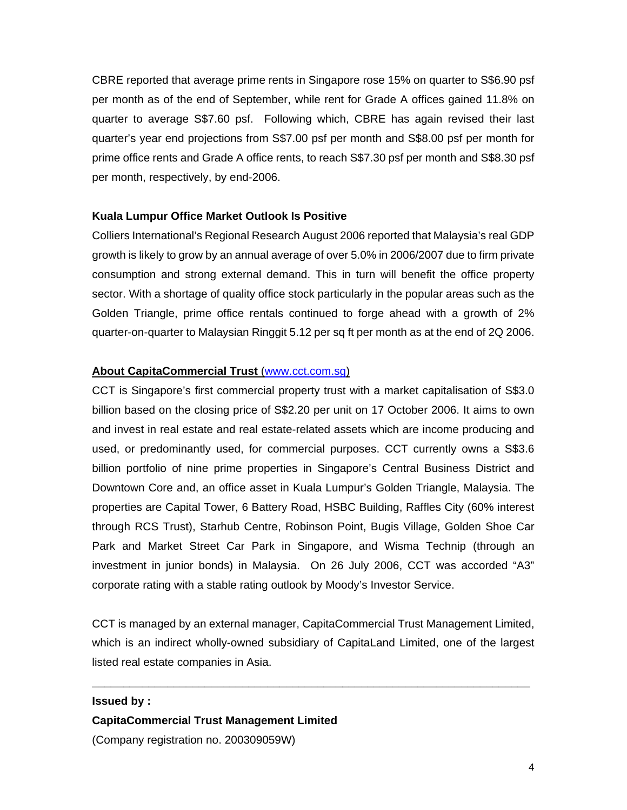CBRE reported that average prime rents in Singapore rose 15% on quarter to S\$6.90 psf per month as of the end of September, while rent for Grade A offices gained 11.8% on quarter to average S\$7.60 psf. Following which, CBRE has again revised their last quarter's year end projections from S\$7.00 psf per month and S\$8.00 psf per month for prime office rents and Grade A office rents, to reach S\$7.30 psf per month and S\$8.30 psf per month, respectively, by end-2006.

#### **Kuala Lumpur Office Market Outlook Is Positive**

Colliers International's Regional Research August 2006 reported that Malaysia's real GDP growth is likely to grow by an annual average of over 5.0% in 2006/2007 due to firm private consumption and strong external demand. This in turn will benefit the office property sector. With a shortage of quality office stock particularly in the popular areas such as the Golden Triangle, prime office rentals continued to forge ahead with a growth of 2% quarter-on-quarter to Malaysian Ringgit 5.12 per sq ft per month as at the end of 2Q 2006.

#### **About CapitaCommercial Trust** (www.cct.com.sg)

CCT is Singapore's first commercial property trust with a market capitalisation of S\$3.0 billion based on the closing price of S\$2.20 per unit on 17 October 2006. It aims to own and invest in real estate and real estate-related assets which are income producing and used, or predominantly used, for commercial purposes. CCT currently owns a S\$3.6 billion portfolio of nine prime properties in Singapore's Central Business District and Downtown Core and, an office asset in Kuala Lumpur's Golden Triangle, Malaysia. The properties are Capital Tower, 6 Battery Road, HSBC Building, Raffles City (60% interest through RCS Trust), Starhub Centre, Robinson Point, Bugis Village, Golden Shoe Car Park and Market Street Car Park in Singapore, and Wisma Technip (through an investment in junior bonds) in Malaysia. On 26 July 2006, CCT was accorded "A3" corporate rating with a stable rating outlook by Moody's Investor Service.

CCT is managed by an external manager, CapitaCommercial Trust Management Limited, which is an indirect wholly-owned subsidiary of CapitaLand Limited, one of the largest listed real estate companies in Asia.

**\_\_\_\_\_\_\_\_\_\_\_\_\_\_\_\_\_\_\_\_\_\_\_\_\_\_\_\_\_\_\_\_\_\_\_\_\_\_\_\_\_\_\_\_\_\_\_\_\_\_\_\_\_\_\_\_\_\_\_\_\_\_\_\_\_\_\_\_\_\_** 

#### **Issued by :**

## **CapitaCommercial Trust Management Limited**  (Company registration no. 200309059W)